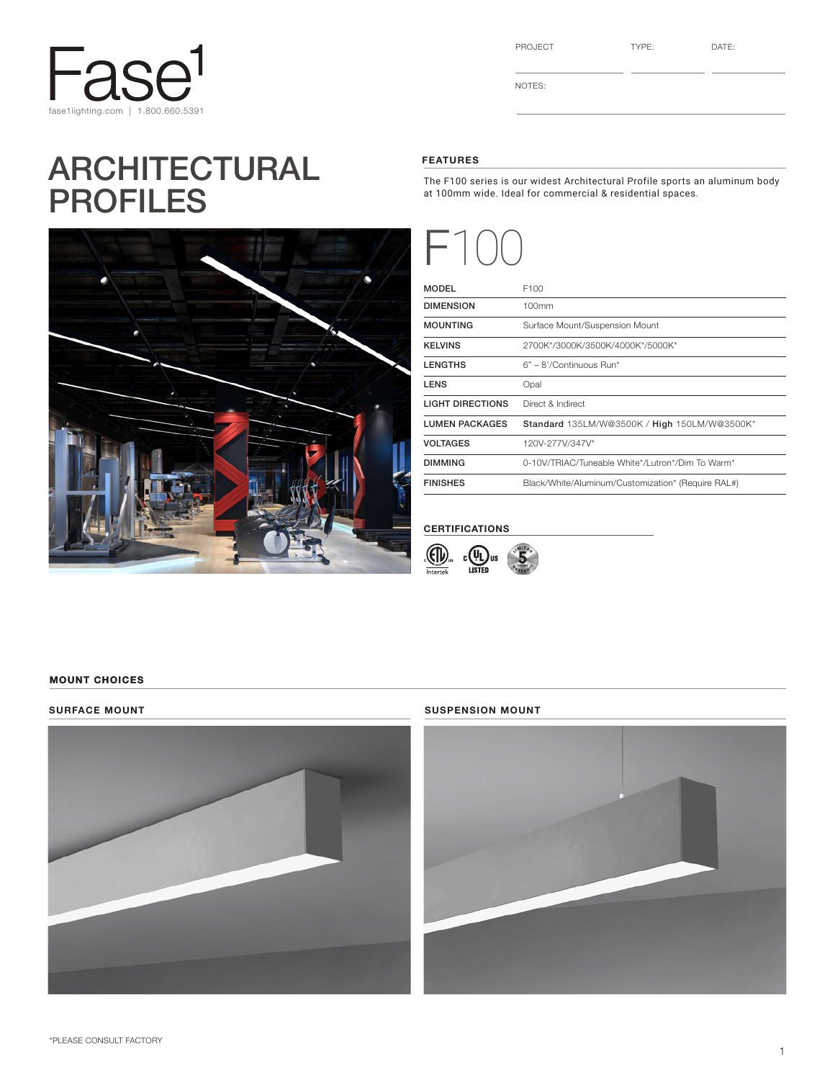

# ARCHITECTURAL PROFILES



| Ö<br>H(<br>. . |  |
|----------------|--|
|----------------|--|

NOTES:

### FEATURES

The F100 series is our widest Architectural Profile sports an aluminum body at 100mm wide. Ideal for commercial & residential spaces.



| <b>MODEL</b>            | F100                                               |
|-------------------------|----------------------------------------------------|
| <b>DIMENSION</b>        | 100mm                                              |
| <b>MOUNTING</b>         | Surface Mount/Suspension Mount                     |
| <b>KELVINS</b>          | 2700K*/3000K/3500K/4000K*/5000K*                   |
| <b>LENGTHS</b>          | $6" - 8'/\text{Continuous Run}^*$                  |
| <b>LENS</b>             | Opal                                               |
| <b>LIGHT DIRECTIONS</b> | Direct & Indirect                                  |
| <b>LUMEN PACKAGES</b>   | Standard 135LM/W@3500K / High 150LM/W@3500K*       |
| <b>VOLTAGES</b>         | 120V-277V/347V*                                    |
| <b>DIMMING</b>          | 0-10V/TRIAC/Tuneable White*/Lutron*/Dim To Warm*   |
| <b>FINISHES</b>         | Black/White/Aluminum/Customization* (Require RAL#) |

#### CERTIFICATIONS



#### MOUNT CHOICES



#### SURFACE MOUNT SUSPENSION MOUNT

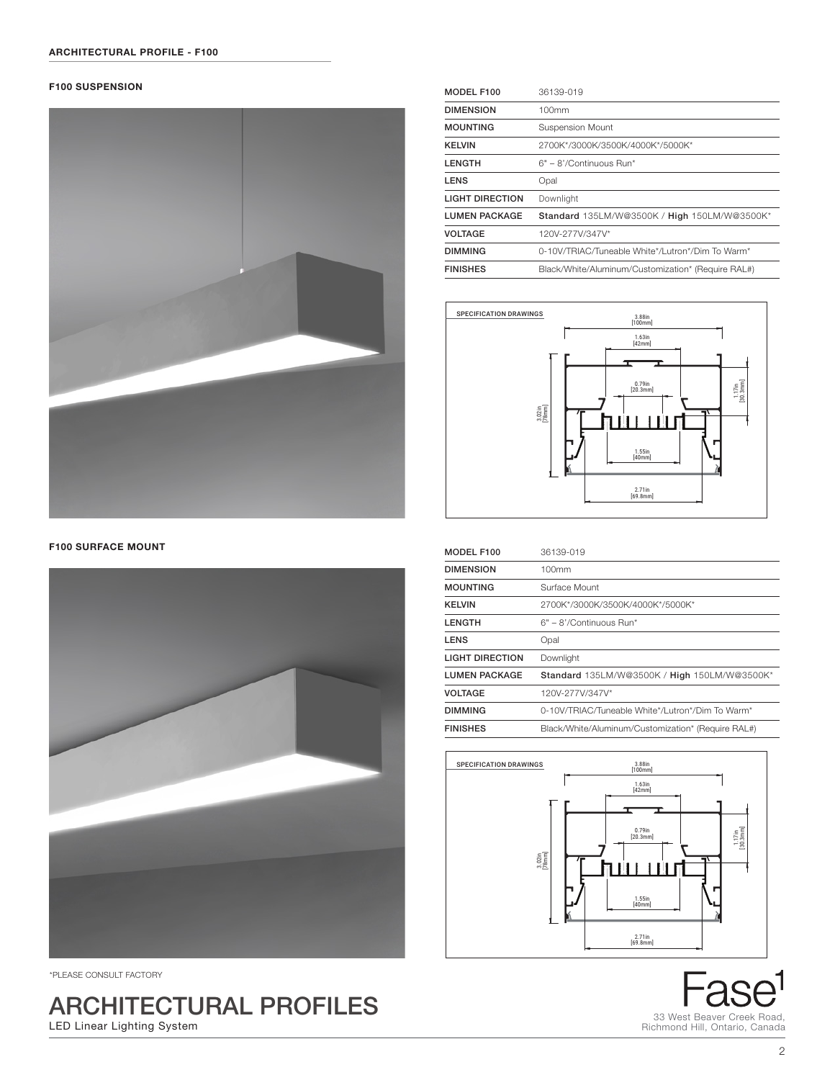#### **F100 SUSPENSION**



**F100 SURFACE MOUNT** 



\*PLEASE CONSULT FACTORY

ARCHITECTURAL PROFILES LED Linear Lighting System

| MODEL F100             | 36139-019                                          |
|------------------------|----------------------------------------------------|
| <b>DIMENSION</b>       | 100mm                                              |
| <b>MOUNTING</b>        | <b>Suspension Mount</b>                            |
| <b>KELVIN</b>          | 2700K*/3000K/3500K/4000K*/5000K*                   |
| <b>LENGTH</b>          | $6" - 8'/\text{Continuous Run}$ *                  |
| <b>LENS</b>            | Opal                                               |
| <b>LIGHT DIRECTION</b> | Downlight                                          |
| <b>LUMEN PACKAGE</b>   | Standard 135LM/W@3500K / High 150LM/W@3500K*       |
| <b>VOLTAGE</b>         | 120V-277V/347V*                                    |
| <b>DIMMING</b>         | 0-10V/TRIAC/Tuneable White*/Lutron*/Dim To Warm*   |
| <b>FINISHES</b>        | Black/White/Aluminum/Customization* (Require RAL#) |



| MODEL F100             | 36139-019                                          |
|------------------------|----------------------------------------------------|
| <b>DIMENSION</b>       | 100mm                                              |
| <b>MOUNTING</b>        | Surface Mount                                      |
| <b>KELVIN</b>          | 2700K*/3000K/3500K/4000K*/5000K*                   |
| <b>LENGTH</b>          | $6" - 8'/\text{Continuous Run}^*$                  |
| <b>LENS</b>            | Opal                                               |
| <b>LIGHT DIRECTION</b> | Downlight                                          |
| <b>LUMEN PACKAGE</b>   | Standard 135LM/W@3500K / High 150LM/W@3500K*       |
| <b>VOLTAGE</b>         | 120V-277V/347V*                                    |
| <b>DIMMING</b>         | 0-10V/TRIAC/Tuneable White*/Lutron*/Dim To Warm*   |
| <b>FINISHES</b>        | Black/White/Aluminum/Customization* (Require RAL#) |



d 33 West Beaver Creek Road, Richmond Hill, Ontario, Canada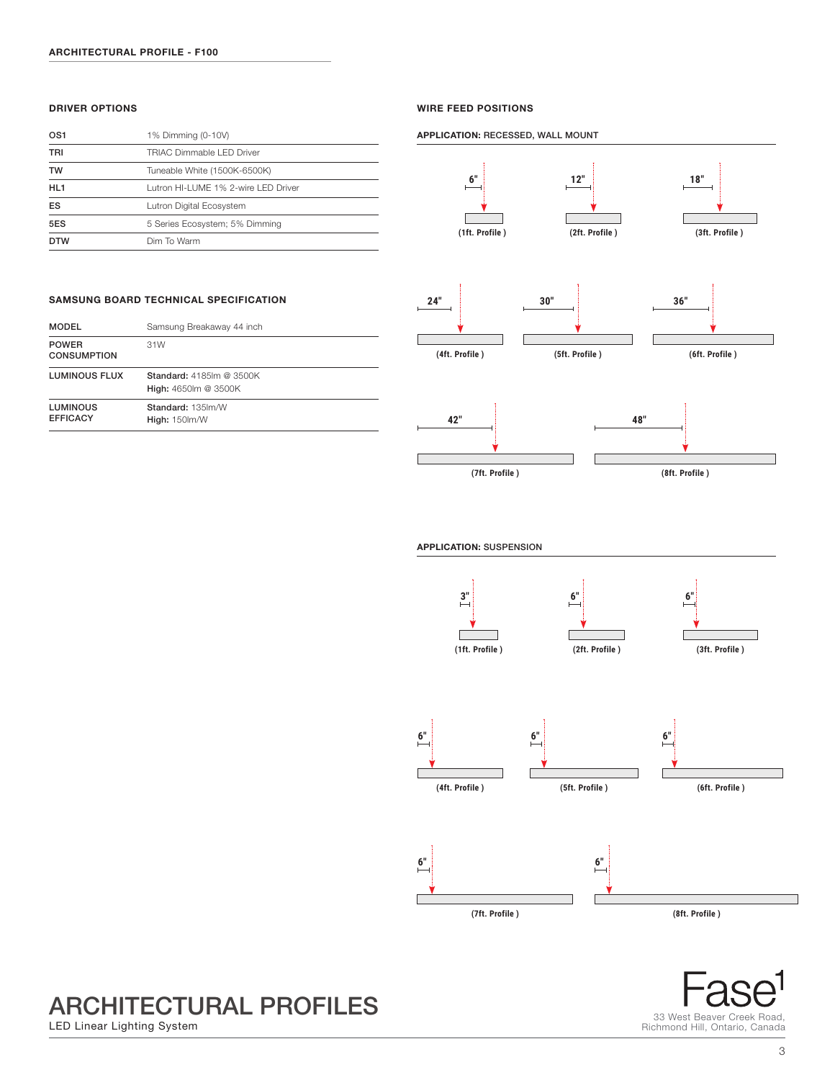#### DRIVER OPTIONS

| OS <sub>1</sub> | 1% Dimming (0-10V)                  |
|-----------------|-------------------------------------|
| TRI             | TRIAC Dimmable I FD Driver          |
| <b>TW</b>       | Tuneable White (1500K-6500K)        |
| HL <sub>1</sub> | Lutron HI-LUME 1% 2-wire LED Driver |
| ES              | Lutron Digital Ecosystem            |
| 5ES             | 5 Series Ecosystem; 5% Dimming      |
| <b>DTW</b>      | Dim To Warm                         |

#### WIRE FEED POSITIONS

APPLICATION: RECESSED, WALL MOUNT







**(8ft. Profile )**



### SAMSUNG BOARD TECHNICAL SPECIFICATION

| <b>MODEL</b>                       | Samsung Breakaway 44 inch                               |
|------------------------------------|---------------------------------------------------------|
| <b>POWER</b><br><b>CONSUMPTION</b> | 31W                                                     |
| LUMINOUS FLUX                      | <b>Standard: 4185 m @ 3500K</b><br>High: 4650lm @ 3500K |
| <b>LUMINOUS</b><br><b>EFFICACY</b> | Standard: 135 lm/W<br><b>High: 150 lm/W</b>             |

ARCHITECTURAL PROFILES

LED Linear Lighting System